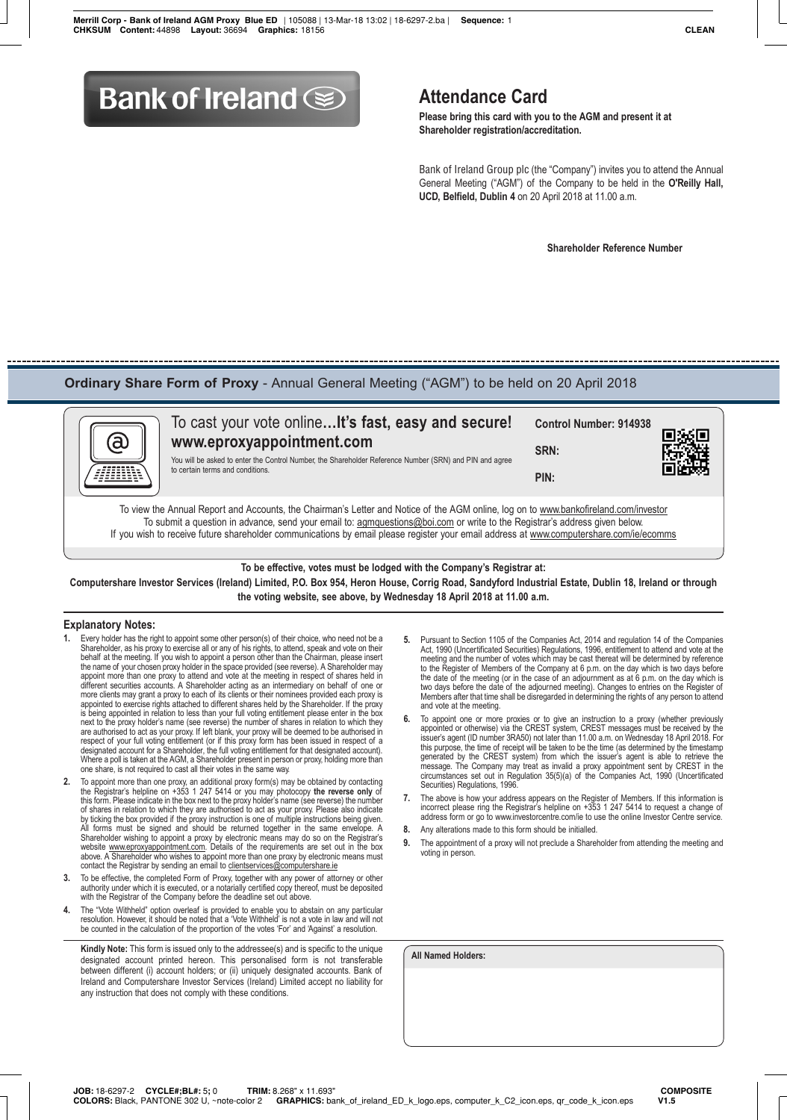# **Bank of Ireland Solution Attendance Card**

 **Please bring this card with you to the AGM and present it at Shareholder registration/accreditation.**

 Bank of Ireland Group plc (the "Company") invites you to attend the Annual General Meeting ("AGM") of the Company to be held in the **O'Reilly Hall, UCD, Belfield, Dublin 4** on 20 April 2018 at 11.00 a.m.

 **Shareholder Reference Number**

# **Ordinary Share Form of Proxy** - Annual General Meeting ("AGM") to be held on 20 April 2018



To cast your vote online**…It's fast, easy and secure! www.eproxyappointment.com** You will be asked to enter the Control Number, the Shareholder Reference Number (SRN) and PIN and agree to certain terms and conditions. **Control Number: 914938 SRN: PIN:**

To view the Annual Report and Accounts, the Chairman's Letter and Notice of the AGM online, log on to www.bankofireland.com/investor To submit a question in advance, send your email to: agmquestions@boi.com or write to the Registrar's address given below. If you wish to receive future shareholder communications by email please register your email address at www.computershare.com/ie/ecomms

## **To be effective, votes must be lodged with the Company's Registrar at:**

**Computershare Investor Services (Ireland) Limited, P.O. Box 954, Heron House, Corrig Road, Sandyford Industrial Estate, Dublin 18, Ireland or through the voting website, see above, by Wednesday 18 April 2018 at 11.00 a.m.**

### **Explanatory Notes:**

- Every holder has the right to appoint some other person(s) of their choice, who need not be a Shareholder, as his proxy to exercise all or any of his rights, to attend, speak and vote on their behalf at the meeting. If you wish to appoint a person other than the Chairman, please insert the name of your chosen proxy holder in the space provided (see reverse). A Shareholder may<br>appoint more than one proxy to attend and vote at the meeting in respect of shares held in<br>different securities accounts. A Shareh appointed to exercise rights attached to different shares held by the Shareholder. If the proxy is being appointed in relation to less than your full voting entitlement please enter in the box next to the proxy holder's name (see reverse) the number of shares in relation to which they are authorised to act as your proxy. If left blank, your proxy will be deemed to be authorised in respect of your full voting entitlement (or if this proxy form has been issued in respect of a designated account for a Shareholder, the full voting entitlement for that designated account). Where a poll is taken at the AGM, a Shareholder present in person or proxy, holding more than one share, is not required to cast all their votes in the same way.
- 2. To appoint more than one proxy, an additional proxy form(s) may be obtained by contacting the Registrar's helpline on +353 1 247 5414 or you may photocopy the reverse only of this form. Please indicate in the box next t by ticking the box provided if the proxy instruction is one of multiple instructions being given. All forms must be signed and should be returned together in the same envelope. A Shareholder wishing to appoint a proxy by electronic means may do so on the Registrar's<br>website www.eproxyappointment.com. Details of the requirements are set out in the box<br>above. A Shareholder who wishes to appoint more
- **3.** To be effective, the completed Form of Proxy, together with any power of attorney or other authority under which it is executed, or a notarially certified copy thereof, must be deposited with the Registrar of the Company before the deadline set out above.
- **4.** The "Vote Withheld" option overleaf is provided to enable you to abstain on any particular resolution. However, it should be noted that a 'Vote Withheld' is not a vote in law and will not be counted in the calculation of the proportion of the votes 'For' and 'Against' a resolution.

**Kindly Note:** This form is issued only to the addressee(s) and is specific to the unique designated account printed hereon. This personalised form is not transferable between different (i) account holders; or (ii) uniquely designated accounts. Bank of Ireland and Computershare Investor Services (Ireland) Limited accept no liability for any instruction that does not comply with these conditions.

- **5.** Pursuant to Section 1105 of the Companies Act, 2014 and regulation 14 of the Companies Act, 1990 (Uncertificated Securities) Regulations, 1996, entitlement to attend and vote at the meeting and the number of votes which may be cast thereat will be determined by reference to the Register of Members of the Company at 6 p.m. on the day which is two days before the date of the meeting (or in the case of an adjournment as at 6 p.m. on the day which is two days before the date of the adjourned meeting). Changes to entries on the Register of Members after that time shall be disregarded in determining the rights of any person to attend and vote at the meeting.
- **6.** To appoint one or more proxies or to give an instruction to a proxy (whether previously appointed or otherwise) via the CREST system, CREST messages must be received by the issuer's agent (ID number 3RA50) not later than 11.00 a.m. on Wednesday 18 April 2018. For this purpose, the time of receipt will be taken to be the time (as determined by the timestamp generated by the CREST system) from which the issuer's agent is able to retrieve the message. The Company may treat as invalid a proxy appointment sent by CREST in the circumstances set out in Regulation 35(5)(a) of the Companies Act, 1990 (Uncertificated Securities) Regulations, 1996.
- **7.** The above is how your address appears on the Register of Members. If this information is incorrect please ring the Registrar's helpline on +353 1 247 5414 to request a change of address form or go to www.investorcentre.com/ie to use the online Investor Centre service.
- **8.** Any alterations made to this form should be initialled.
- **9.** The appointment of a proxy will not preclude a Shareholder from attending the meeting and voting in person.

**All Named Holders:**